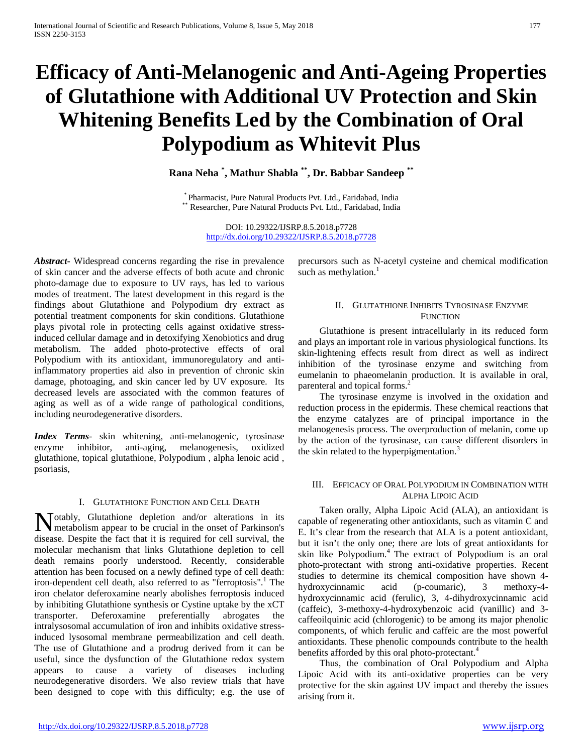# **Efficacy of Anti-Melanogenic and Anti-Ageing Properties of Glutathione with Additional UV Protection and Skin Whitening Benefits Led by the Combination of Oral Polypodium as Whitevit Plus**

**Rana Neha \* , Mathur Shabla \*\*, Dr. Babbar Sandeep \*\***

\* Pharmacist, Pure Natural Products Pvt. Ltd., Faridabad, India \*\* Researcher, Pure Natural Products Pvt. Ltd., Faridabad, India

DOI: 10.29322/IJSRP.8.5.2018.p7728 <http://dx.doi.org/10.29322/IJSRP.8.5.2018.p7728>

*Abstract***-** Widespread concerns regarding the rise in prevalence of skin cancer and the adverse effects of both acute and chronic photo-damage due to exposure to UV rays, has led to various modes of treatment. The latest development in this regard is the findings about Glutathione and Polypodium dry extract as potential treatment components for skin conditions. Glutathione plays pivotal role in protecting cells against oxidative stressinduced cellular damage and in detoxifying Xenobiotics and drug metabolism. The added photo-protective effects of oral Polypodium with its antioxidant, immunoregulatory and antiinflammatory properties aid also in prevention of chronic skin damage, photoaging, and skin cancer led by UV exposure. Its decreased levels are associated with the common features of aging as well as of a wide range of pathological conditions, including neurodegenerative disorders.

*Index Terms*- skin whitening, anti-melanogenic, tyrosinase enzyme inhibitor, anti-aging, melanogenesis, oxidized glutathione, topical glutathione, Polypodium , alpha lenoic acid , psoriasis,

## I. GLUTATHIONE FUNCTION AND CELL DEATH

**N** otably, Glutathione depletion and/or alterations in its metabolism appear to be crucial in the onset of Parkinson's metabolism appear to be crucial in the onset of Parkinson's disease. Despite the fact that it is required for cell survival, the molecular mechanism that links Glutathione depletion to cell death remains poorly understood. Recently, considerable attention has been focused on a newly defined type of cell death: iron-dependent cell death, also referred to as "ferroptosis".<sup>1</sup> The iron chelator deferoxamine nearly abolishes ferroptosis induced by inhibiting Glutathione synthesis or Cystine uptake by the xCT transporter. Deferoxamine preferentially abrogates the intralysosomal accumulation of iron and inhibits oxidative stressinduced lysosomal membrane permeabilization and cell death. The use of Glutathione and a prodrug derived from it can be useful, since the dysfunction of the Glutathione redox system appears to cause a variety of diseases including neurodegenerative disorders. We also review trials that have been designed to cope with this difficulty; e.g. the use of

precursors such as N-acetyl cysteine and chemical modification such as methylation.<sup>1</sup>

## II. GLUTATHIONE INHIBITS TYROSINASE ENZYME **FUNCTION**

 Glutathione is present intracellularly in its reduced form and plays an important role in various physiological functions. Its skin-lightening effects result from direct as well as indirect inhibition of the tyrosinase enzyme and switching from eumelanin to phaeomelanin production. It is available in oral, parenteral and topical forms.<sup>2</sup>

 The tyrosinase enzyme is involved in the oxidation and reduction process in the epidermis. These chemical reactions that the enzyme catalyzes are of principal importance in the melanogenesis process. The overproduction of melanin, come up by the action of the tyrosinase, can cause different disorders in the skin related to the hyperpigmentation.<sup>3</sup>

## III. EFFICACY OF ORAL POLYPODIUM IN COMBINATION WITH ALPHA LIPOIC ACID

 Taken orally, Alpha Lipoic Acid (ALA), an antioxidant is capable of regenerating other antioxidants, such as vitamin C and E. It's clear from the research that ALA is a potent antioxidant, but it isn't the only one; there are lots of great antioxidants for skin like Polypodium.<sup>4</sup> The extract of Polypodium is an oral photo-protectant with strong anti-oxidative properties. Recent studies to determine its chemical composition have shown 4 hydroxycinnamic acid (p-coumaric), 3 methoxy-4 hydroxycinnamic acid (ferulic), 3, 4-dihydroxycinnamic acid (caffeic), 3-methoxy-4-hydroxybenzoic acid (vanillic) and 3 caffeoilquinic acid (chlorogenic) to be among its major phenolic components, of which ferulic and caffeic are the most powerful antioxidants. These phenolic compounds contribute to the health benefits afforded by this oral photo-protectant.<sup>4</sup>

 Thus, the combination of Oral Polypodium and Alpha Lipoic Acid with its anti-oxidative properties can be very protective for the skin against UV impact and thereby the issues arising from it.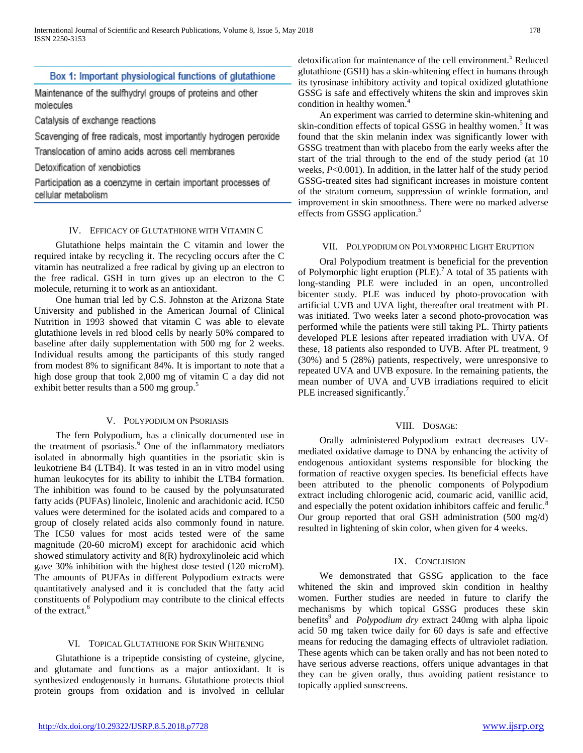# Box 1: Important physiological functions of glutathione

Maintenance of the sulfhydryl groups of proteins and other molecules

Catalysis of exchange reactions

Scavenging of free radicals, most importantly hydrogen peroxide

Translocation of amino acids across cell membranes

Detoxification of xenobiotics

Participation as a coenzyme in certain important processes of cellular metabolism

## IV. EFFICACY OF GLUTATHIONE WITH VITAMIN C

 Glutathione helps maintain the C vitamin and lower the required intake by recycling it. The recycling occurs after the C vitamin has neutralized a free radical by giving up an electron to the free radical. GSH in turn gives up an electron to the C molecule, returning it to work as an antioxidant.

 One human trial led by C.S. Johnston at the Arizona State University and published in the American Journal of Clinical Nutrition in 1993 showed that vitamin C was able to elevate glutathione levels in red blood cells by nearly 50% compared to baseline after daily supplementation with 500 mg for 2 weeks. Individual results among the participants of this study ranged from modest 8% to significant 84%. It is important to note that a high dose group that took 2,000 mg of vitamin C a day did not exhibit better results than a 500 mg group.<sup>5</sup>

#### V. POLYPODIUM ON PSORIASIS

 The fern Polypodium, has a clinically documented use in the treatment of psoriasis. $6$  One of the inflammatory mediators isolated in abnormally high quantities in the psoriatic skin is leukotriene B4 (LTB4). It was tested in an in vitro model using human leukocytes for its ability to inhibit the LTB4 formation. The inhibition was found to be caused by the polyunsaturated fatty acids (PUFAs) linoleic, linolenic and arachidonic acid. IC50 values were determined for the isolated acids and compared to a group of closely related acids also commonly found in nature. The IC50 values for most acids tested were of the same magnitude (20-60 microM) except for arachidonic acid which showed stimulatory activity and 8(R) hydroxylinoleic acid which gave 30% inhibition with the highest dose tested (120 microM). The amounts of PUFAs in different Polypodium extracts were quantitatively analysed and it is concluded that the fatty acid constituents of Polypodium may contribute to the clinical effects of the extract.<sup>6</sup>

#### VI. TOPICAL GLUTATHIONE FOR SKIN WHITENING

 Glutathione is a tripeptide consisting of cysteine, glycine, and glutamate and functions as a major antioxidant. It is synthesized endogenously in humans. Glutathione protects thiol protein groups from oxidation and is involved in cellular

detoxification for maintenance of the cell environment.<sup>5</sup> Reduced glutathione (GSH) has a skin-whitening effect in humans through its tyrosinase inhibitory activity and topical oxidized glutathione GSSG is safe and effectively whitens the skin and improves skin condition in healthy women.<sup>4</sup>

 An experiment was carried to determine skin-whitening and skin-condition effects of topical GSSG in healthy women.<sup>5</sup> It was found that the skin melanin index was significantly lower with GSSG treatment than with placebo from the early weeks after the start of the trial through to the end of the study period (at 10 weeks, *P*<0.001). In addition, in the latter half of the study period GSSG-treated sites had significant increases in moisture content of the stratum corneum, suppression of wrinkle formation, and improvement in skin smoothness. There were no marked adverse effects from GSSG application.<sup>5</sup>

#### VII. POLYPODIUM ON POLYMORPHIC LIGHT ERUPTION

 Oral Polypodium treatment is beneficial for the prevention of Polymorphic light eruption (PLE).<sup>7</sup> A total of 35 patients with long-standing PLE were included in an open, uncontrolled bicenter study. PLE was induced by photo-provocation with artificial UVB and UVA light, thereafter oral treatment with PL was initiated. Two weeks later a second photo-provocation was performed while the patients were still taking PL. Thirty patients developed PLE lesions after repeated irradiation with UVA. Of these, 18 patients also responded to UVB. After PL treatment, 9 (30%) and 5 (28%) patients, respectively, were unresponsive to repeated UVA and UVB exposure. In the remaining patients, the mean number of UVA and UVB irradiations required to elicit PLE increased significantly.<sup>7</sup>

### VIII. DOSAGE:

 Orally administered Polypodium extract decreases UVmediated oxidative damage to DNA by enhancing the activity of endogenous antioxidant systems responsible for blocking the formation of reactive oxygen species. Its beneficial effects have been attributed to the phenolic components of Polypodium extract including chlorogenic acid, coumaric acid, vanillic acid, and especially the potent oxidation inhibitors caffeic and ferulic.<sup>8</sup> Our group reported that oral GSH administration (500 mg/d) resulted in lightening of skin color, when given for 4 weeks.

#### IX. CONCLUSION

 We demonstrated that GSSG application to the face whitened the skin and improved skin condition in healthy women. Further studies are needed in future to clarify the mechanisms by which topical GSSG produces these skin benefits<sup>9</sup> and *Polypodium dry* extract 240mg with alpha lipoic acid 50 mg taken twice daily for 60 days is safe and effective means for reducing the damaging effects of ultraviolet radiation. These agents which can be taken orally and has not been noted to have serious adverse reactions, offers unique advantages in that they can be given orally, thus avoiding patient resistance to topically applied sunscreens.